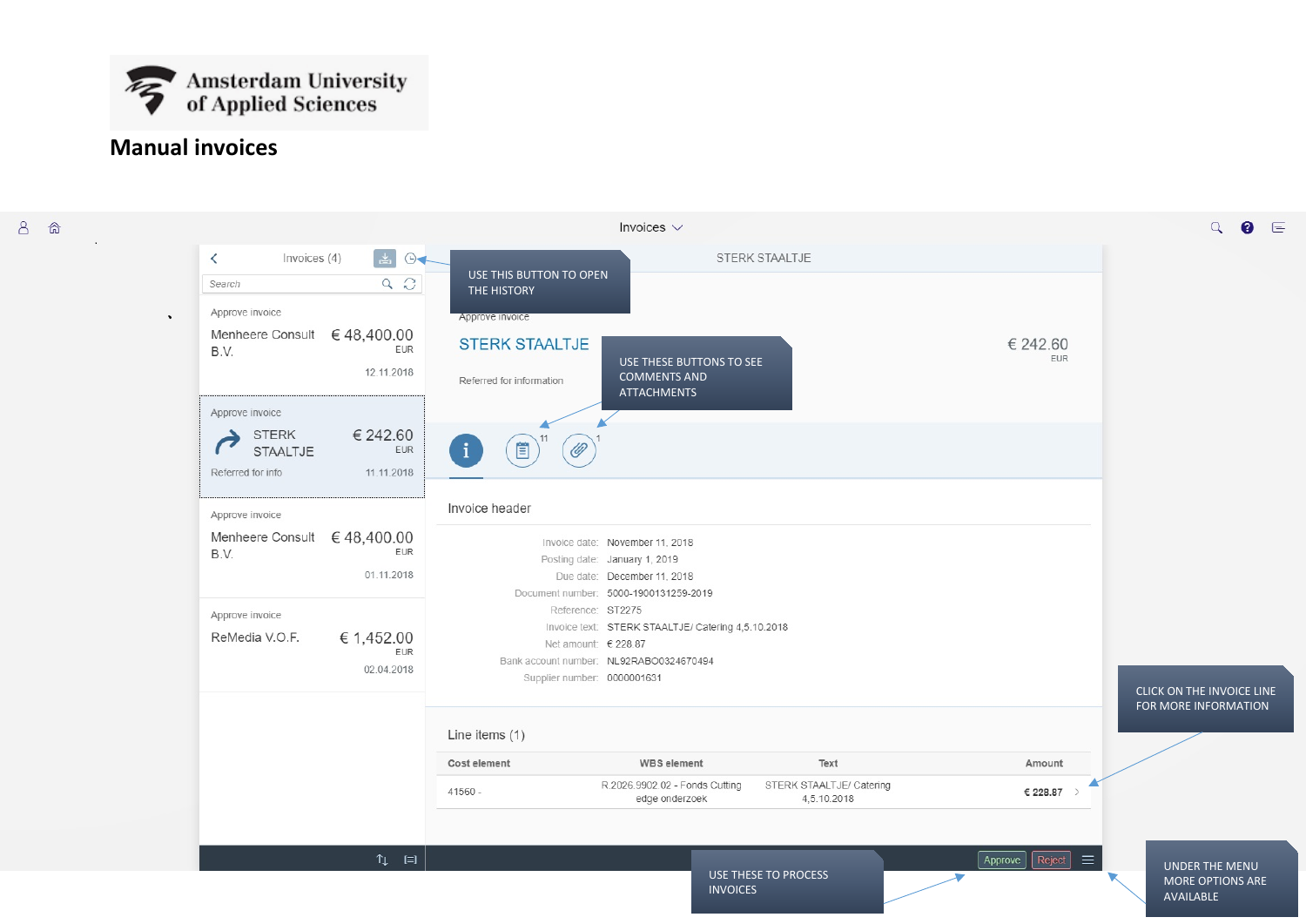

# **Manual invoices**

 $8a$ 

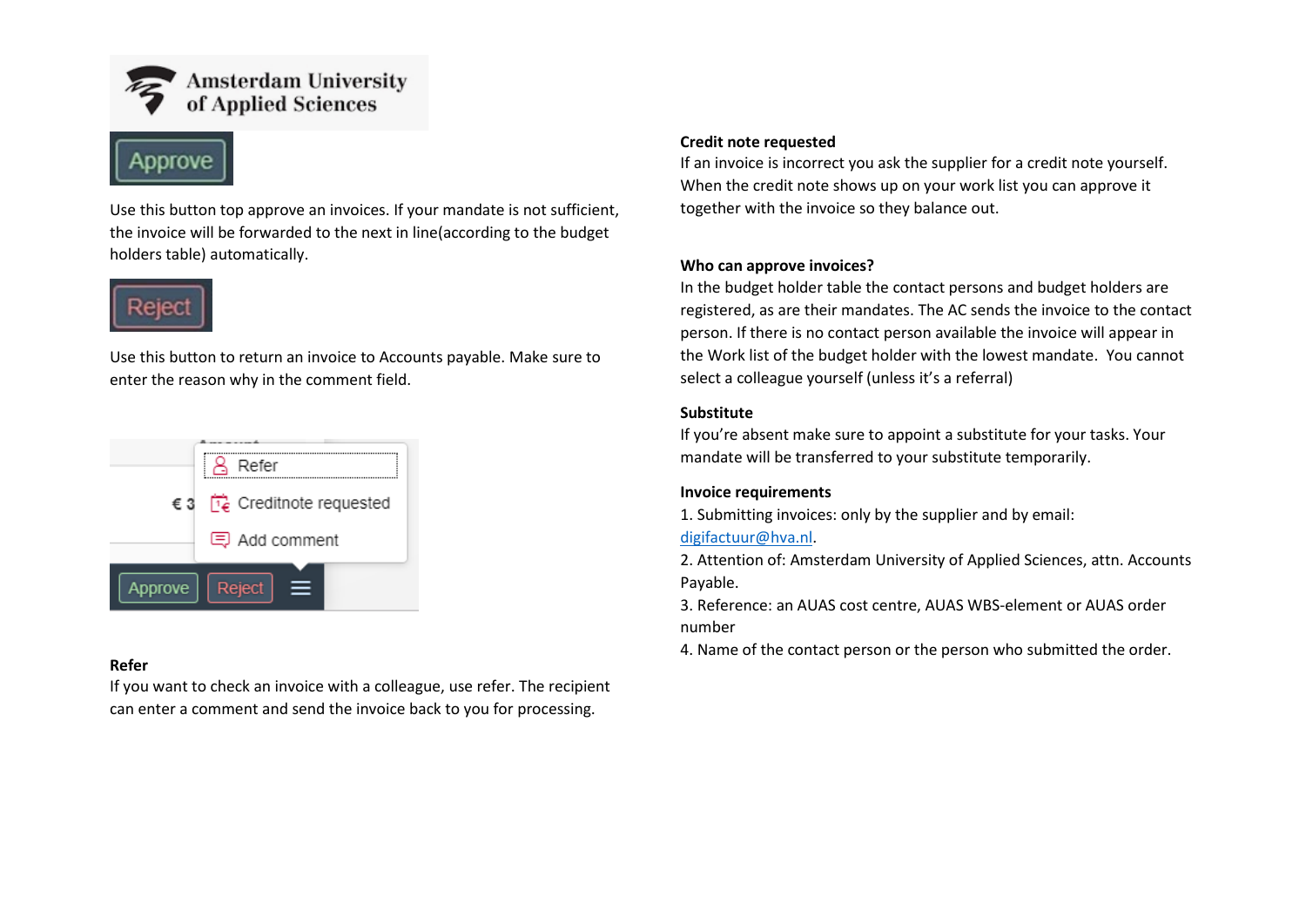



Use this button top approve an invoices. If your mandate is not sufficient, the invoice will be forwarded to the next in line(according to the budget holders table) automatically.



Use this button to return an invoice to Accounts payable. Make sure to enter the reason why in the comment field.



# **Refer**

If you want to check an invoice with a colleague, use refer. The recipient can enter a comment and send the invoice back to you for processing.

# **Credit note requested**

If an invoice is incorrect you ask the supplier for a credit note yourself. When the credit note shows up on your work list you can approve it together with the invoice so they balance out.

#### **Who can approve invoices?**

In the budget holder table the contact persons and budget holders are registered, as are their mandates. The AC sends the invoice to the contact person. If there is no contact person available the invoice will appear in the Work list of the budget holder with the lowest mandate. You cannot select a colleague yourself (unless it's a referral)

#### **Substitute**

If you're absent make sure to appoint a substitute for your tasks. Your mandate will be transferred to your substitute temporarily.

#### **Invoice requirements**

1. Submitting invoices: only by the supplier and by email:

# [digifactuur@hva.nl.](mailto:digifactuur@hva.nl)

2. Attention of: Amsterdam University of Applied Sciences, attn. Accounts Payable.

3. Reference: an AUAS cost centre, AUAS WBS-element or AUAS order number

4. Name of the contact person or the person who submitted the order.